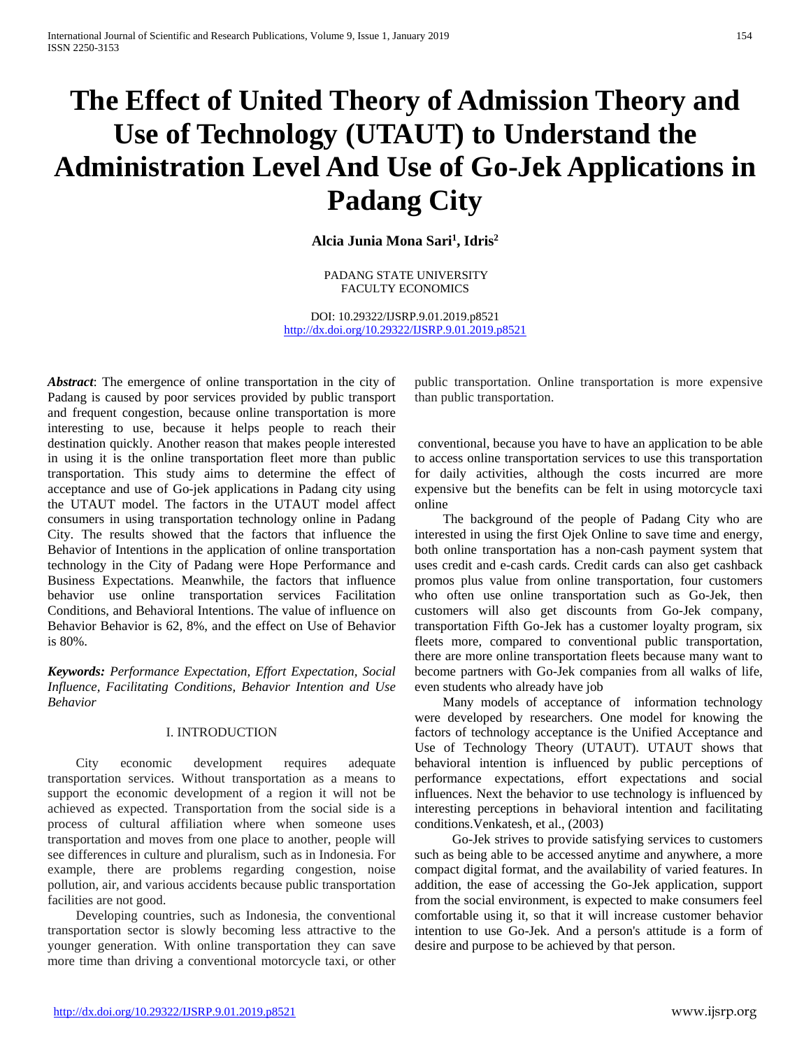# **The Effect of United Theory of Admission Theory and Use of Technology (UTAUT) to Understand the Administration Level And Use of Go-Jek Applications in Padang City**

**Alcia Junia Mona Sari1 , Idris2**

PADANG STATE UNIVERSITY FACULTY ECONOMICS

DOI: 10.29322/IJSRP.9.01.2019.p8521 <http://dx.doi.org/10.29322/IJSRP.9.01.2019.p8521>

*Abstract*: The emergence of online transportation in the city of Padang is caused by poor services provided by public transport and frequent congestion, because online transportation is more interesting to use, because it helps people to reach their destination quickly. Another reason that makes people interested in using it is the online transportation fleet more than public transportation. This study aims to determine the effect of acceptance and use of Go-jek applications in Padang city using the UTAUT model. The factors in the UTAUT model affect consumers in using transportation technology online in Padang City. The results showed that the factors that influence the Behavior of Intentions in the application of online transportation technology in the City of Padang were Hope Performance and Business Expectations. Meanwhile, the factors that influence behavior use online transportation services Facilitation Conditions, and Behavioral Intentions. The value of influence on Behavior Behavior is 62, 8%, and the effect on Use of Behavior is 80%.

*Keywords: Performance Expectation, Effort Expectation, Social Influence, Facilitating Conditions, Behavior Intention and Use Behavior*

#### I. INTRODUCTION

City economic development requires adequate transportation services. Without transportation as a means to support the economic development of a region it will not be achieved as expected. Transportation from the social side is a process of cultural affiliation where when someone uses transportation and moves from one place to another, people will see differences in culture and pluralism, such as in Indonesia. For example, there are problems regarding congestion, noise pollution, air, and various accidents because public transportation facilities are not good.

Developing countries, such as Indonesia, the conventional transportation sector is slowly becoming less attractive to the younger generation. With online transportation they can save more time than driving a conventional motorcycle taxi, or other

public transportation. Online transportation is more expensive than public transportation.

conventional, because you have to have an application to be able to access online transportation services to use this transportation for daily activities, although the costs incurred are more expensive but the benefits can be felt in using motorcycle taxi online

The background of the people of Padang City who are interested in using the first Ojek Online to save time and energy, both online transportation has a non-cash payment system that uses credit and e-cash cards. Credit cards can also get cashback promos plus value from online transportation, four customers who often use online transportation such as Go-Jek, then customers will also get discounts from Go-Jek company, transportation Fifth Go-Jek has a customer loyalty program, six fleets more, compared to conventional public transportation, there are more online transportation fleets because many want to become partners with Go-Jek companies from all walks of life, even students who already have job

Many models of acceptance of information technology were developed by researchers. One model for knowing the factors of technology acceptance is the Unified Acceptance and Use of Technology Theory (UTAUT). UTAUT shows that behavioral intention is influenced by public perceptions of performance expectations, effort expectations and social influences. Next the behavior to use technology is influenced by interesting perceptions in behavioral intention and facilitating conditions.Venkatesh, et al., (2003)

Go-Jek strives to provide satisfying services to customers such as being able to be accessed anytime and anywhere, a more compact digital format, and the availability of varied features. In addition, the ease of accessing the Go-Jek application, support from the social environment, is expected to make consumers feel comfortable using it, so that it will increase customer behavior intention to use Go-Jek. And a person's attitude is a form of desire and purpose to be achieved by that person.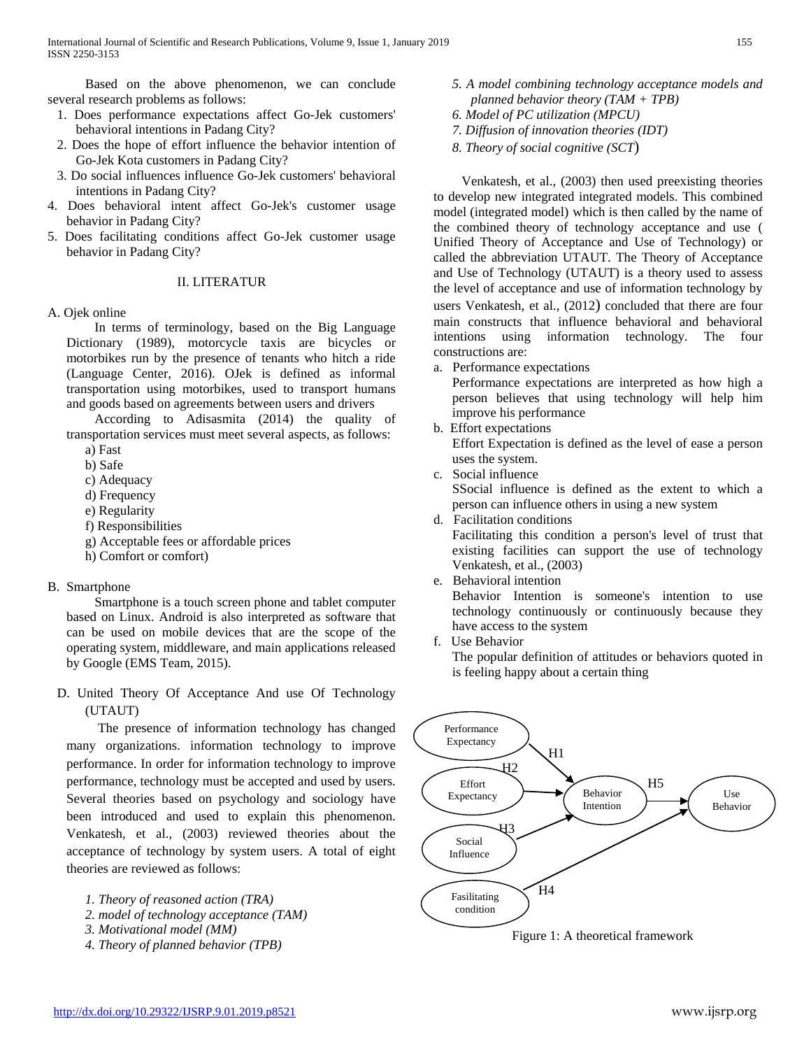Based on the above phenomenon, we can conclude several research problems as follows:

- 1. Does performance expectations affect Go-Jek customers' behavioral intentions in Padang City?
- 2. Does the hope of effort influence the behavior intention of Go-Jek Kota customers in Padang City?
- 3. Do social influences influence Go-Jek customers' behavioral intentions in Padang City?
- 4. Does behavioral intent affect Go-Jek's customer usage behavior in Padang City?
- 5. Does facilitating conditions affect Go-Jek customer usage behavior in Padang City?

## II. LITERATUR

## A. Ojek online

In terms of terminology, based on the Big Language Dictionary (1989), motorcycle taxis are bicycles or motorbikes run by the presence of tenants who hitch a ride (Language Center, 2016). OJek is defined as informal transportation using motorbikes, used to transport humans and goods based on agreements between users and drivers

According to Adisasmita (2014) the quality of transportation services must meet several aspects, as follows: a) Fast

- b) Safe
- c) Adequacy
- d) Frequency
- e) Regularity
- f) Responsibilities
- g) Acceptable fees or affordable prices
- h) Comfort or comfort)

## B. Smartphone

Smartphone is a touch screen phone and tablet computer based on Linux. Android is also interpreted as software that can be used on mobile devices that are the scope of the operating system, middleware, and main applications released by Google (EMS Team, 2015).

D. United Theory Of Acceptance And use Of Technology (UTAUT)

The presence of information technology has changed many organizations. information technology to improve performance. In order for information technology to improve performance, technology must be accepted and used by users. Several theories based on psychology and sociology have been introduced and used to explain this phenomenon. Venkatesh, et al., (2003) reviewed theories about the acceptance of technology by system users. A total of eight theories are reviewed as follows:

- *1. Theory of reasoned action (TRA)*
- *2. model of technology acceptance (TAM)*
- *3. Motivational model (MM)*
- *4. Theory of planned behavior (TPB)*
- *5. A model combining technology acceptance models and planned behavior theory (TAM + TPB)*
- *6. Model of PC utilization (MPCU)*
- *7. Diffusion of innovation theories (IDT)*
- *8. Theory of social cognitive (SCT*)

Venkatesh, et al., (2003) then used preexisting theories to develop new integrated integrated models. This combined model (integrated model) which is then called by the name of the combined theory of technology acceptance and use ( Unified Theory of Acceptance and Use of Technology) or called the abbreviation UTAUT. The Theory of Acceptance and Use of Technology (UTAUT) is a theory used to assess the level of acceptance and use of information technology by users Venkatesh, et al., (2012) concluded that there are four main constructs that influence behavioral and behavioral intentions using information technology. The four constructions are:

a. Performance expectations

Performance expectations are interpreted as how high a person believes that using technology will help him improve his performance

b. Effort expectations

Effort Expectation is defined as the level of ease a person uses the system.

c. Social influence

SSocial influence is defined as the extent to which a person can influence others in using a new system

d. Facilitation conditions

Facilitating this condition a person's level of trust that existing facilities can support the use of technology Venkatesh, et al., (2003)

e. Behavioral intention

Behavior Intention is someone's intention to use technology continuously or continuously because they have access to the system

f. Use Behavior

The popular definition of attitudes or behaviors quoted in is feeling happy about a certain thing



Figure 1: A theoretical framework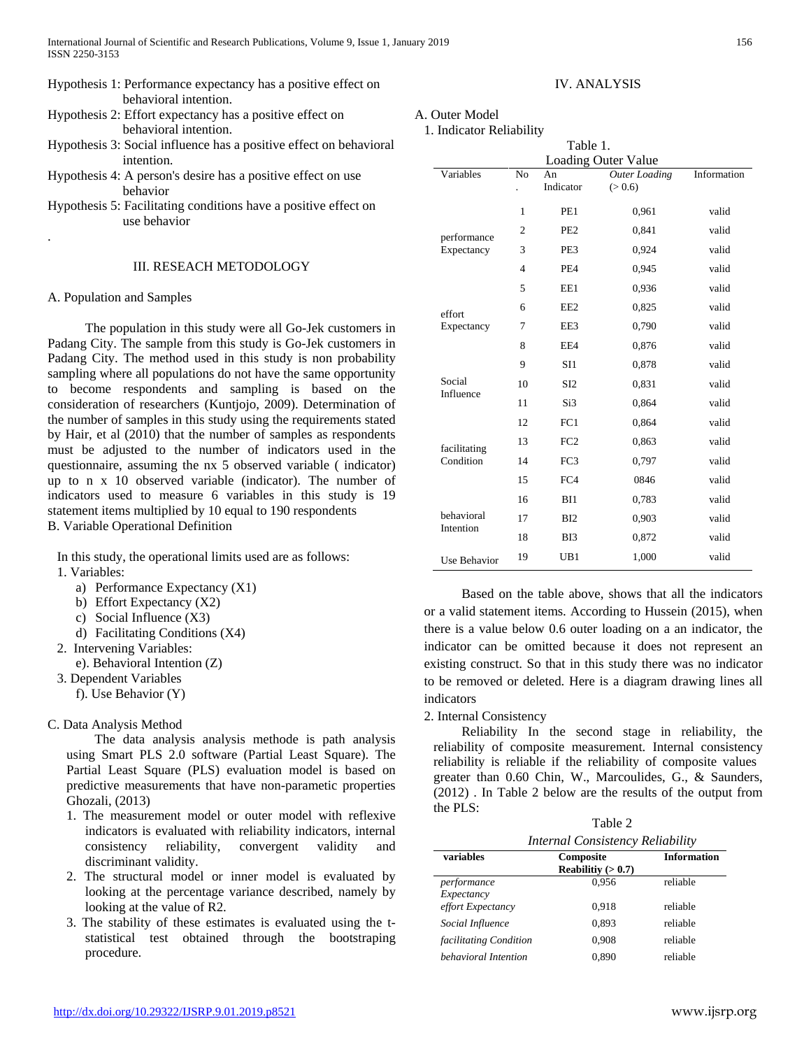- Hypothesis 1: Performance expectancy has a positive effect on behavioral intention.
- Hypothesis 2: Effort expectancy has a positive effect on behavioral intention.
- Hypothesis 3: Social influence has a positive effect on behavioral intention.
- Hypothesis 4: A person's desire has a positive effect on use behavior
- Hypothesis 5: Facilitating conditions have a positive effect on use behavior

## III. RESEACH METODOLOGY

## A. Population and Samples

.

The population in this study were all Go-Jek customers in Padang City. The sample from this study is Go-Jek customers in Padang City. The method used in this study is non probability sampling where all populations do not have the same opportunity to become respondents and sampling is based on the consideration of researchers (Kuntjojo, 2009). Determination of the number of samples in this study using the requirements stated by Hair, et al (2010) that the number of samples as respondents must be adjusted to the number of indicators used in the questionnaire, assuming the nx 5 observed variable ( indicator) up to n x 10 observed variable (indicator). The number of indicators used to measure 6 variables in this study is 19 statement items multiplied by 10 equal to 190 respondents B. Variable Operational Definition

In this study, the operational limits used are as follows: 1. Variables:

- a) Performance Expectancy (X1)
- b) Effort Expectancy (X2)
- c) Social Influence (X3)
- d) Facilitating Conditions (X4)
- 2. Intervening Variables:
	- e). Behavioral Intention (Z)
- 3. Dependent Variables
	- f). Use Behavior (Y)

## C. Data Analysis Method

The data analysis analysis methode is path analysis using Smart PLS 2.0 software (Partial Least Square). The Partial Least Square (PLS) evaluation model is based on predictive measurements that have non-parametic properties Ghozali, (2013)

- 1. The measurement model or outer model with reflexive indicators is evaluated with reliability indicators, internal consistency reliability, convergent validity and discriminant validity.
- 2. The structural model or inner model is evaluated by looking at the percentage variance described, namely by looking at the value of R2.
- 3. The stability of these estimates is evaluated using the tstatistical test obtained through the bootstraping procedure.

## IV. ANALYSIS

## A. Outer Model

1. Indicator Reliability

| Table 1.                   |                |                 |                      |             |  |  |  |
|----------------------------|----------------|-----------------|----------------------|-------------|--|--|--|
| <b>Loading Outer Value</b> |                |                 |                      |             |  |  |  |
| Variables                  | N <sub>0</sub> | An<br>Indicator | <b>Outer Loading</b> | Information |  |  |  |
|                            |                |                 | (> 0.6)              |             |  |  |  |
|                            | 1              | PE1             | 0,961                | valid       |  |  |  |
| performance                | $\overline{2}$ | PE <sub>2</sub> | 0,841                | valid       |  |  |  |
| Expectancy                 | 3              | PE3             | 0.924                | valid       |  |  |  |
|                            | $\overline{4}$ | PF <sub>4</sub> | 0,945                | valid       |  |  |  |
|                            | 5              | EE1             | 0.936                | valid       |  |  |  |
| effort                     | 6              | EE <sub>2</sub> | 0.825                | valid       |  |  |  |
| Expectancy                 | 7              | EE3             | 0,790                | valid       |  |  |  |
|                            | 8              | EE4             | 0,876                | valid       |  |  |  |
|                            | 9              | SI1             | 0,878                | valid       |  |  |  |
| Social<br>Influence        | 10             | S <sub>I2</sub> | 0,831                | valid       |  |  |  |
|                            | 11             | Si3             | 0.864                | valid       |  |  |  |
|                            | 12             | FC1             | 0.864                | valid       |  |  |  |
| facilitating               | 13             | FC <sub>2</sub> | 0,863                | valid       |  |  |  |
| Condition                  | 14             | FC3             | 0,797                | valid       |  |  |  |
|                            | 15             | FC4             | 0846                 | valid       |  |  |  |
| behavioral<br>Intention    | 16             | BI1             | 0,783                | valid       |  |  |  |
|                            | 17             | BI2             | 0.903                | valid       |  |  |  |
|                            | 18             | B <sub>I3</sub> | 0.872                | valid       |  |  |  |
| <b>Use Behavior</b>        | 19             | UB1             | 1,000                | valid       |  |  |  |

Based on the table above, shows that all the indicators or a valid statement items. According to Hussein (2015), when there is a value below 0.6 outer loading on a an indicator, the indicator can be omitted because it does not represent an existing construct. So that in this study there was no indicator to be removed or deleted. Here is a diagram drawing lines all indicators

## 2. Internal Consistency

Reliability In the second stage in reliability, the reliability of composite measurement. Internal consistency reliability is reliable if the reliability of composite values greater than 0.60 Chin, W., Marcoulides, G., & Saunders, (2012) . In Table 2 below are the results of the output from the PLS:

 $T_0$ kla $\Omega$ 

| $1$ and $2$               |                                  |                    |  |  |
|---------------------------|----------------------------------|--------------------|--|--|
|                           | Internal Consistency Reliability |                    |  |  |
| variables                 | Composite<br>Reabilitiy $(>0.7)$ | <b>Information</b> |  |  |
| performance<br>Expectancy | 0.956                            | reliable           |  |  |
| effort Expectancy         | 0.918                            | reliable           |  |  |
| Social Influence          | 0,893                            | reliable           |  |  |
| facilitating Condition    | 0.908                            | reliable           |  |  |
| behavioral Intention      | 0.890                            | reliable           |  |  |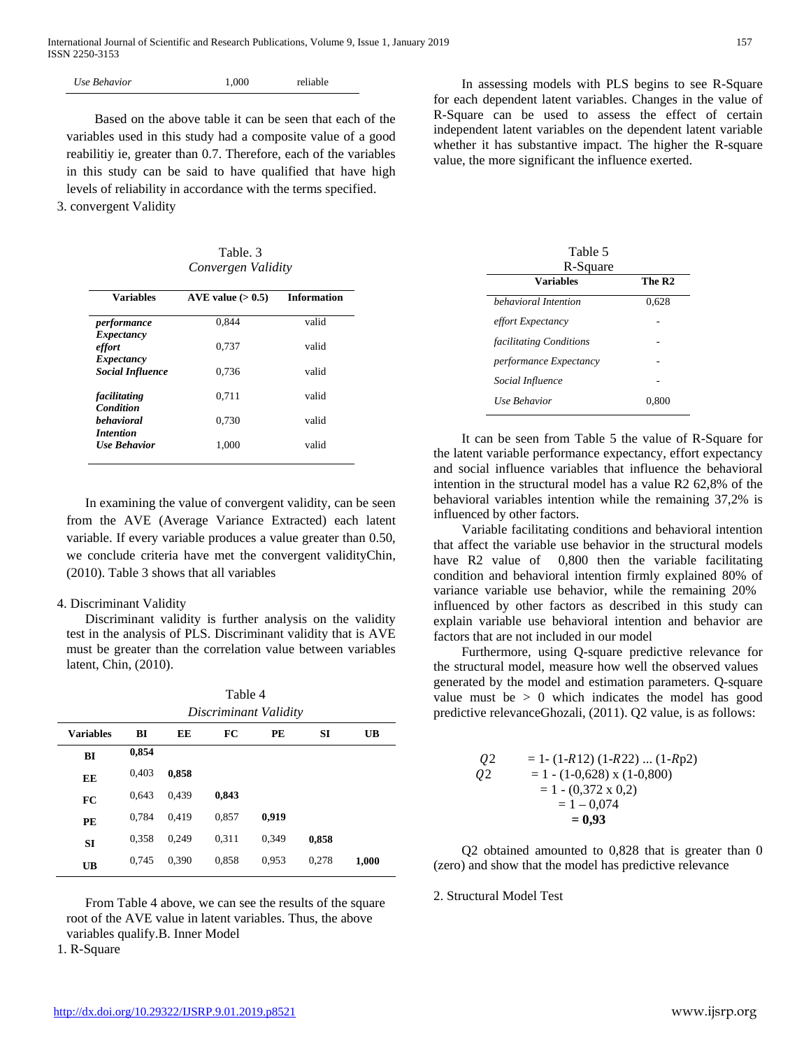| 1.000<br>Use Behavior |
|-----------------------|
|-----------------------|

Based on the above table it can be seen that each of the variables used in this study had a composite value of a good reabilitiy ie, greater than 0.7. Therefore, each of the variables in this study can be said to have qualified that have high levels of reliability in accordance with the terms specified. 3. convergent Validity

Table. 3 *Convergen Validity*

| <b>Variables</b>                      | AVE value $(>0.5)$ | <b>Information</b> |  |
|---------------------------------------|--------------------|--------------------|--|
| performance                           | 0.844              | valid              |  |
| Expectancy<br>effort                  | 0.737              | valid              |  |
| Expectancy<br><b>Social Influence</b> | 0.736              | valid              |  |
| facilitating<br>Condition             | 0.711              | valid              |  |
| <b>behavioral</b><br><i>Intention</i> | 0.730              | valid              |  |
| <b>Use Rehavior</b>                   | 1.000              | valid              |  |

In examining the value of convergent validity, can be seen from the AVE (Average Variance Extracted) each latent variable. If every variable produces a value greater than 0.50, we conclude criteria have met the convergent validityChin, (2010). Table 3 shows that all variables

## 4. Discriminant Validity

Discriminant validity is further analysis on the validity test in the analysis of PLS. Discriminant validity that is AVE must be greater than the correlation value between variables latent, Chin, (2010).

| Table 4               |  |
|-----------------------|--|
| Discriminant Validity |  |

| <b>Variables</b> | BI    | EE    | FC    | PE    | <b>SI</b> | UB    |
|------------------|-------|-------|-------|-------|-----------|-------|
| BI               | 0,854 |       |       |       |           |       |
| EE               | 0,403 | 0,858 |       |       |           |       |
| FC               | 0,643 | 0,439 | 0,843 |       |           |       |
| PE               | 0,784 | 0,419 | 0,857 | 0,919 |           |       |
| <b>SI</b>        | 0,358 | 0.249 | 0,311 | 0,349 | 0,858     |       |
| <b>UB</b>        | 0,745 | 0,390 | 0,858 | 0,953 | 0,278     | 1,000 |
|                  |       |       |       |       |           |       |

From Table 4 above, we can see the results of the square root of the AVE value in latent variables. Thus, the above variables qualify.B. Inner Model

1. R-Square

In assessing models with PLS begins to see R-Square for each dependent latent variables. Changes in the value of R-Square can be used to assess the effect of certain independent latent variables on the dependent latent variable whether it has substantive impact. The higher the R-square value, the more significant the influence exerted.

| Table 5<br>R-Square     |                    |  |  |  |
|-------------------------|--------------------|--|--|--|
| <b>Variables</b>        | The R <sub>2</sub> |  |  |  |
| hehavioral Intention    | 0.628              |  |  |  |
| effort Expectancy       |                    |  |  |  |
| facilitating Conditions |                    |  |  |  |
| performance Expectancy  |                    |  |  |  |
| Social Influence        |                    |  |  |  |
| <b>Use Behavior</b>     | 0.800              |  |  |  |

It can be seen from Table 5 the value of R-Square for the latent variable performance expectancy, effort expectancy and social influence variables that influence the behavioral intention in the structural model has a value R2 62,8% of the behavioral variables intention while the remaining 37,2% is influenced by other factors.

Variable facilitating conditions and behavioral intention that affect the variable use behavior in the structural models have R2 value of 0,800 then the variable facilitating condition and behavioral intention firmly explained 80% of variance variable use behavior, while the remaining 20% influenced by other factors as described in this study can explain variable use behavioral intention and behavior are factors that are not included in our model

Furthermore, using Q-square predictive relevance for the structural model, measure how well the observed values generated by the model and estimation parameters. Q-square value must be  $> 0$  which indicates the model has good predictive relevanceGhozali, (2011). Q2 value, is as follows:

| 02 | $= 1 - (1 - R12) (1 - R22)  (1 - Rp2)$ |
|----|----------------------------------------|
| 02 | $= 1 - (1 - 0.628)$ x (1 - 0,800)      |
|    | $= 1 - (0,372 \times 0,2)$             |
|    | $= 1 - 0.074$                          |
|    | $= 0.93$                               |

Q2 obtained amounted to 0,828 that is greater than 0 (zero) and show that the model has predictive relevance

## 2. Structural Model Test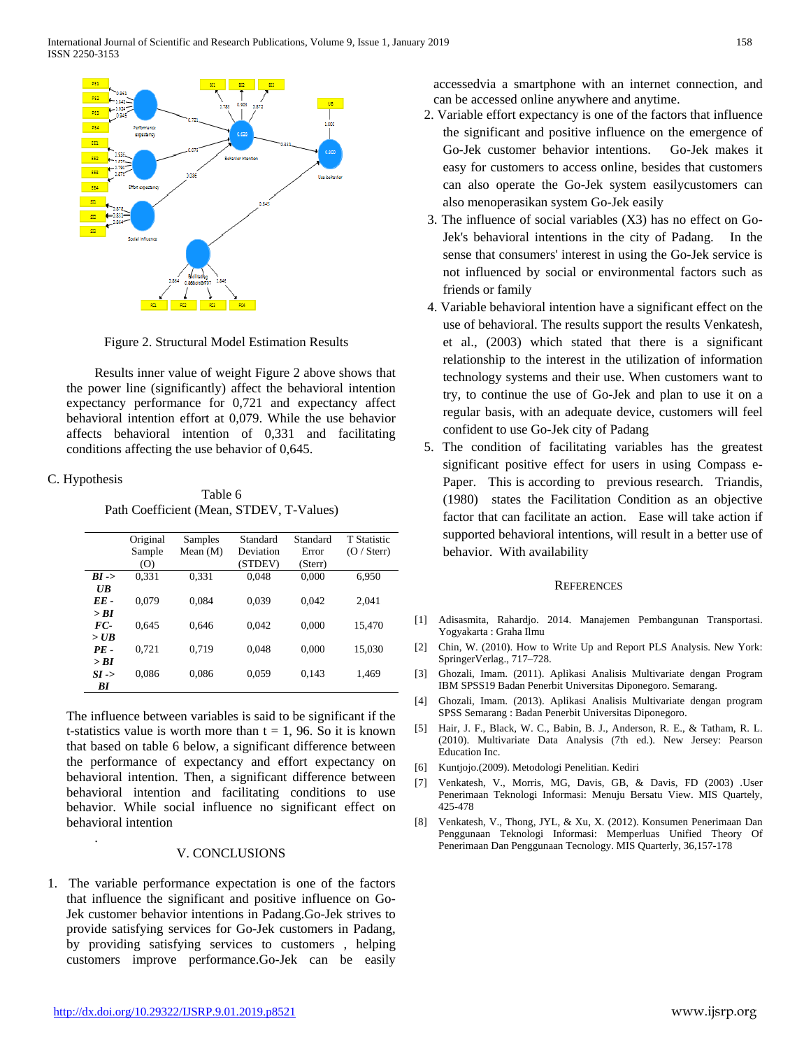

Figure 2. Structural Model Estimation Results

Results inner value of weight Figure 2 above shows that the power line (significantly) affect the behavioral intention expectancy performance for 0,721 and expectancy affect behavioral intention effort at 0,079. While the use behavior affects behavioral intention of 0,331 and facilitating conditions affecting the use behavior of 0,645.

## C. Hypothesis

.

Table 6 Path Coefficient (Mean, STDEV, T-Values)

|                  | Original | Samples    | Standard  | Standard | <b>T</b> Statistic |
|------------------|----------|------------|-----------|----------|--------------------|
|                  | Sample   | Mean $(M)$ | Deviation | Error    | $(O /$ Sterr)      |
|                  | (0)      |            | (STDEV)   | (Sterr)  |                    |
| $BI \rightarrow$ | 0.331    | 0.331      | 0.048     | 0.000    | 6,950              |
| $U\mathbf{B}$    |          |            |           |          |                    |
| $EE-$            | 0.079    | 0.084      | 0.039     | 0.042    | 2.041              |
| > RI             |          |            |           |          |                    |
| FC-              | 0.645    | 0.646      | 0.042     | 0.000    | 15,470             |
| $>$ UB           |          |            |           |          |                    |
| $PE -$           | 0.721    | 0.719      | 0.048     | 0.000    | 15,030             |
| > BI             |          |            |           |          |                    |
| $SI \rightarrow$ | 0.086    | 0.086      | 0,059     | 0,143    | 1,469              |
| ВI               |          |            |           |          |                    |

The influence between variables is said to be significant if the t-statistics value is worth more than  $t = 1$ , 96. So it is known that based on table 6 below, a significant difference between the performance of expectancy and effort expectancy on behavioral intention. Then, a significant difference between behavioral intention and facilitating conditions to use behavior. While social influence no significant effect on behavioral intention

#### V. CONCLUSIONS

1. The variable performance expectation is one of the factors that influence the significant and positive influence on Go-Jek customer behavior intentions in Padang.Go-Jek strives to provide satisfying services for Go-Jek customers in Padang, by providing satisfying services to customers , helping customers improve performance.Go-Jek can be easily accessedvia a smartphone with an internet connection, and can be accessed online anywhere and anytime.

- 2. Variable effort expectancy is one of the factors that influence the significant and positive influence on the emergence of Go-Jek customer behavior intentions. Go-Jek makes it easy for customers to access online, besides that customers can also operate the Go-Jek system easilycustomers can also menoperasikan system Go-Jek easily
- 3. The influence of social variables (X3) has no effect on Go-Jek's behavioral intentions in the city of Padang. In the sense that consumers' interest in using the Go-Jek service is not influenced by social or environmental factors such as friends or family
- 4. Variable behavioral intention have a significant effect on the use of behavioral. The results support the results Venkatesh, et al., (2003) which stated that there is a significant relationship to the interest in the utilization of information technology systems and their use. When customers want to try, to continue the use of Go-Jek and plan to use it on a regular basis, with an adequate device, customers will feel confident to use Go-Jek city of Padang
- 5. The condition of facilitating variables has the greatest significant positive effect for users in using Compass e-Paper. This is according to previous research. Triandis, (1980) states the Facilitation Condition as an objective factor that can facilitate an action. Ease will take action if supported behavioral intentions, will result in a better use of behavior. With availability

#### **REFERENCES**

- [1] Adisasmita, Rahardjo. 2014. Manajemen Pembangunan Transportasi. Yogyakarta : Graha Ilmu
- [2] Chin, W. (2010). How to Write Up and Report PLS Analysis. New York: SpringerVerlag., 717–728.
- [3] Ghozali, Imam. (2011). Aplikasi Analisis Multivariate dengan Program IBM SPSS19 Badan Penerbit Universitas Diponegoro. Semarang.
- [4] Ghozali, Imam. (2013). Aplikasi Analisis Multivariate dengan program SPSS Semarang : Badan Penerbit Universitas Diponegoro.
- [5] Hair, J. F., Black, W. C., Babin, B. J., Anderson, R. E., & Tatham, R. L. (2010). Multivariate Data Analysis (7th ed.). New Jersey: Pearson Education Inc.
- [6] Kuntjojo.(2009). Metodologi Penelitian. Kediri
- [7] Venkatesh, V., Morris, MG, Davis, GB, & Davis, FD (2003) .User Penerimaan Teknologi Informasi: Menuju Bersatu View. MIS Quartely, 425-478
- [8] Venkatesh, V., Thong, JYL, & Xu, X. (2012). Konsumen Penerimaan Dan Penggunaan Teknologi Informasi: Memperluas Unified Theory Of Penerimaan Dan Penggunaan Tecnology. MIS Quarterly, 36,157-178